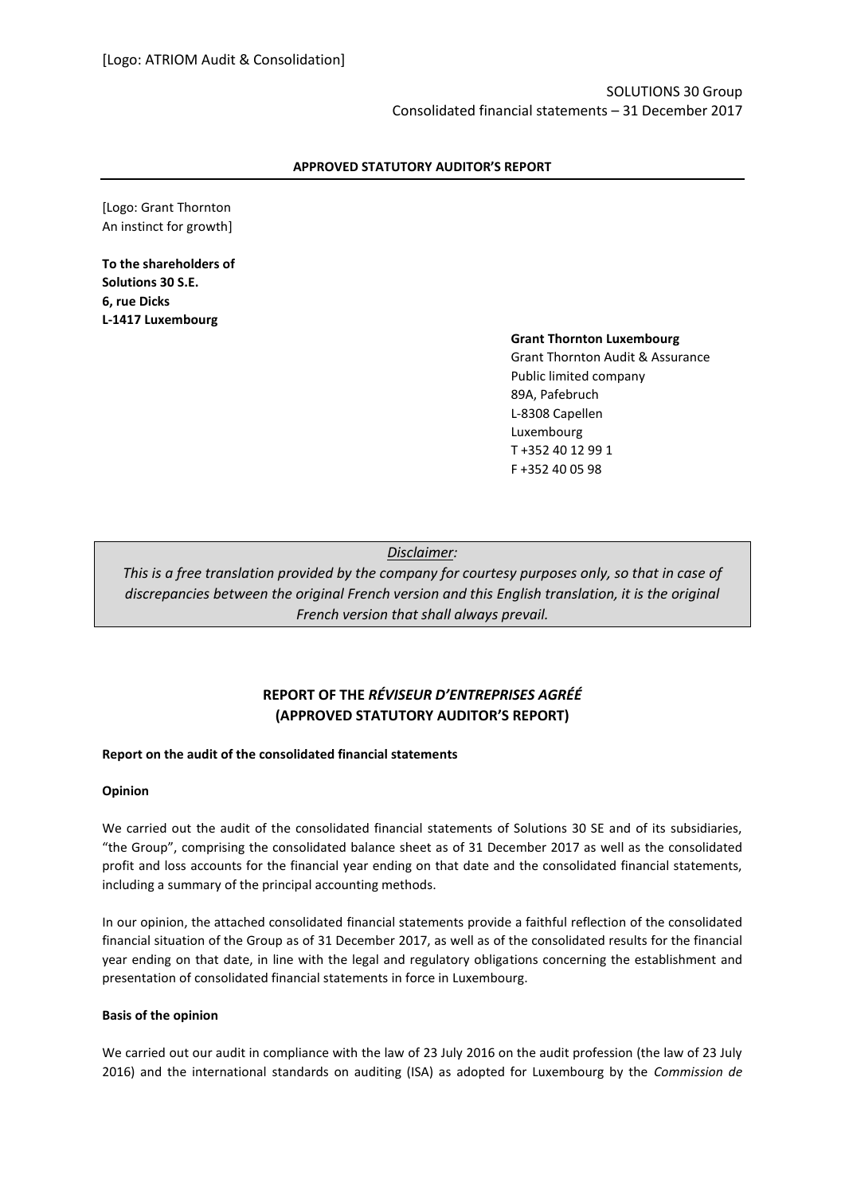## **APPROVED STATUTORY AUDITOR'S REPORT**

[Logo: Grant Thornton An instinct for growth]

**To the shareholders of Solutions 30 S.E. 6, rue Dicks L-1417 Luxembourg**

### **Grant Thornton Luxembourg**

Grant Thornton Audit & Assurance Public limited company 89A, Pafebruch L-8308 Capellen Luxembourg T +352 40 12 99 1 F +352 40 05 98

*Disclaimer:*

*This is a free translation provided by the company for courtesy purposes only, so that in case of discrepancies between the original French version and this English translation, it is the original French version that shall always prevail.*

# **REPORT OF THE** *RÉVISEUR D'ENTREPRISES AGRÉÉ* **(APPROVED STATUTORY AUDITOR'S REPORT)**

## **Report on the audit of the consolidated financial statements**

### **Opinion**

We carried out the audit of the consolidated financial statements of Solutions 30 SE and of its subsidiaries, "the Group", comprising the consolidated balance sheet as of 31 December 2017 as well as the consolidated profit and loss accounts for the financial year ending on that date and the consolidated financial statements, including a summary of the principal accounting methods.

In our opinion, the attached consolidated financial statements provide a faithful reflection of the consolidated financial situation of the Group as of 31 December 2017, as well as of the consolidated results for the financial year ending on that date, in line with the legal and regulatory obligations concerning the establishment and presentation of consolidated financial statements in force in Luxembourg.

### **Basis of the opinion**

We carried out our audit in compliance with the law of 23 July 2016 on the audit profession (the law of 23 July 2016) and the international standards on auditing (ISA) as adopted for Luxembourg by the *Commission de*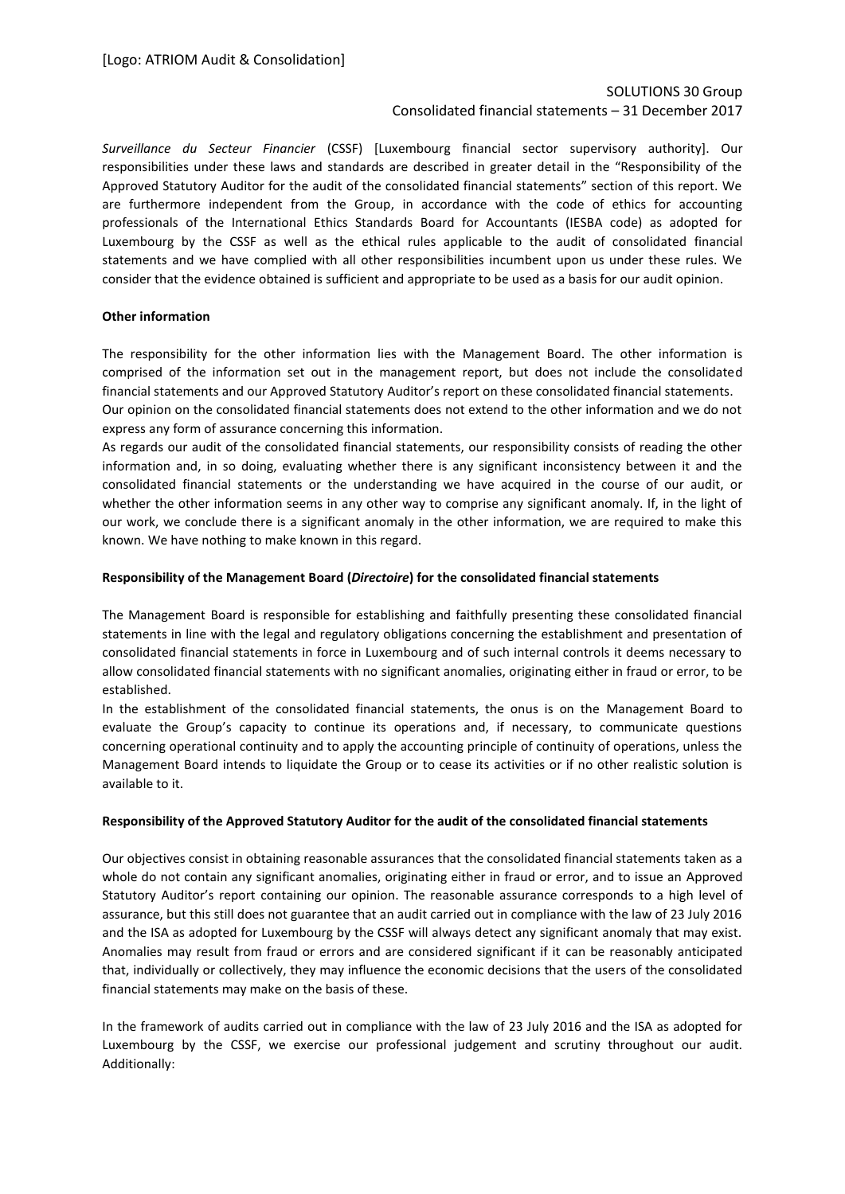# SOLUTIONS 30 Group Consolidated financial statements – 31 December 2017

*Surveillance du Secteur Financier* (CSSF) [Luxembourg financial sector supervisory authority]. Our responsibilities under these laws and standards are described in greater detail in the "Responsibility of the Approved Statutory Auditor for the audit of the consolidated financial statements" section of this report. We are furthermore independent from the Group, in accordance with the code of ethics for accounting professionals of the International Ethics Standards Board for Accountants (IESBA code) as adopted for Luxembourg by the CSSF as well as the ethical rules applicable to the audit of consolidated financial statements and we have complied with all other responsibilities incumbent upon us under these rules. We consider that the evidence obtained is sufficient and appropriate to be used as a basis for our audit opinion.

# **Other information**

The responsibility for the other information lies with the Management Board. The other information is comprised of the information set out in the management report, but does not include the consolidated financial statements and our Approved Statutory Auditor's report on these consolidated financial statements. Our opinion on the consolidated financial statements does not extend to the other information and we do not express any form of assurance concerning this information.

As regards our audit of the consolidated financial statements, our responsibility consists of reading the other information and, in so doing, evaluating whether there is any significant inconsistency between it and the consolidated financial statements or the understanding we have acquired in the course of our audit, or whether the other information seems in any other way to comprise any significant anomaly. If, in the light of our work, we conclude there is a significant anomaly in the other information, we are required to make this known. We have nothing to make known in this regard.

# **Responsibility of the Management Board (***Directoire***) for the consolidated financial statements**

The Management Board is responsible for establishing and faithfully presenting these consolidated financial statements in line with the legal and regulatory obligations concerning the establishment and presentation of consolidated financial statements in force in Luxembourg and of such internal controls it deems necessary to allow consolidated financial statements with no significant anomalies, originating either in fraud or error, to be established.

In the establishment of the consolidated financial statements, the onus is on the Management Board to evaluate the Group's capacity to continue its operations and, if necessary, to communicate questions concerning operational continuity and to apply the accounting principle of continuity of operations, unless the Management Board intends to liquidate the Group or to cease its activities or if no other realistic solution is available to it.

### **Responsibility of the Approved Statutory Auditor for the audit of the consolidated financial statements**

Our objectives consist in obtaining reasonable assurances that the consolidated financial statements taken as a whole do not contain any significant anomalies, originating either in fraud or error, and to issue an Approved Statutory Auditor's report containing our opinion. The reasonable assurance corresponds to a high level of assurance, but this still does not guarantee that an audit carried out in compliance with the law of 23 July 2016 and the ISA as adopted for Luxembourg by the CSSF will always detect any significant anomaly that may exist. Anomalies may result from fraud or errors and are considered significant if it can be reasonably anticipated that, individually or collectively, they may influence the economic decisions that the users of the consolidated financial statements may make on the basis of these.

In the framework of audits carried out in compliance with the law of 23 July 2016 and the ISA as adopted for Luxembourg by the CSSF, we exercise our professional judgement and scrutiny throughout our audit. Additionally: